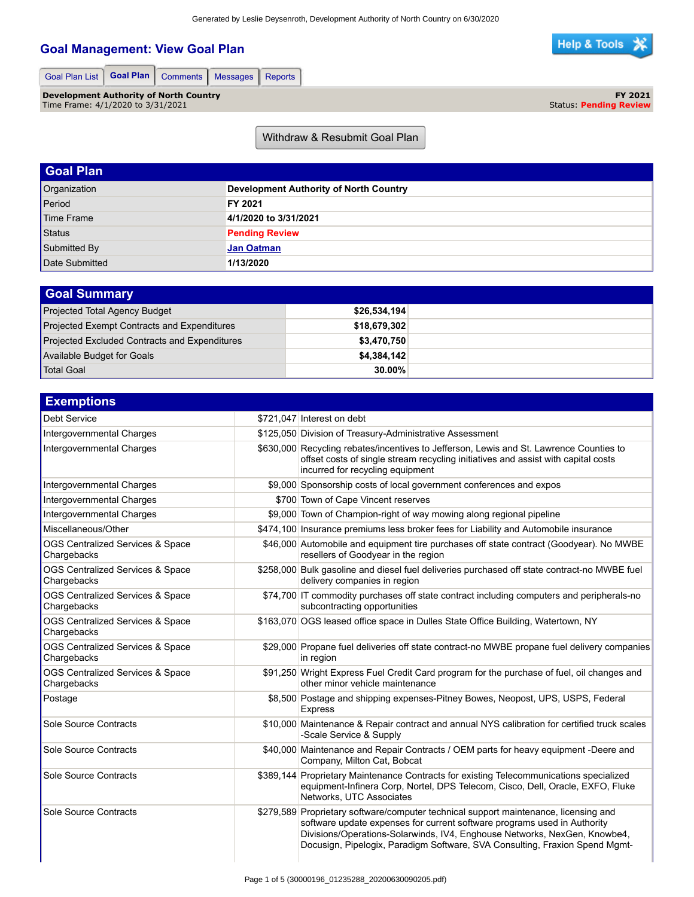**FY 2021**

氺

Status: **Pending Review**

**Help & Tools** 

## **Goal Management: View Goal Plan**

| Goal Plan List   Goal Plan   Comments   Messages   Reports |  |  |  |  |  |
|------------------------------------------------------------|--|--|--|--|--|
|------------------------------------------------------------|--|--|--|--|--|

**Development Authority of North Country** Time Frame: 4/1/2020 to 3/31/2021

Withdraw & Resubmit Goal Plan

| <b>Goal Plan</b> |                                        |
|------------------|----------------------------------------|
| Organization     | Development Authority of North Country |
| Period           | FY 2021                                |
| Time Frame       | 4/1/2020 to 3/31/2021                  |
| <b>Status</b>    | <b>Pending Review</b>                  |
| Submitted By     | <b>Jan Oatman</b>                      |
| Date Submitted   | 1/13/2020                              |

| <b>Goal Summary</b>                                  |              |  |
|------------------------------------------------------|--------------|--|
| Projected Total Agency Budget                        | \$26,534,194 |  |
| Projected Exempt Contracts and Expenditures          | \$18,679,302 |  |
| <b>Projected Excluded Contracts and Expenditures</b> | \$3,470,750  |  |
| Available Budget for Goals                           | \$4,384,142  |  |
| Total Goal                                           | 30.00%       |  |

| <b>Exemptions</b>                               |                                                                                                                                                                                                                                                                                                                              |
|-------------------------------------------------|------------------------------------------------------------------------------------------------------------------------------------------------------------------------------------------------------------------------------------------------------------------------------------------------------------------------------|
| Debt Service                                    | \$721,047 Interest on debt                                                                                                                                                                                                                                                                                                   |
| Intergovernmental Charges                       | \$125,050 Division of Treasury-Administrative Assessment                                                                                                                                                                                                                                                                     |
| Intergovernmental Charges                       | \$630,000 Recycling rebates/incentives to Jefferson, Lewis and St. Lawrence Counties to<br>offset costs of single stream recycling initiatives and assist with capital costs<br>incurred for recycling equipment                                                                                                             |
| Intergovernmental Charges                       | \$9,000 Sponsorship costs of local government conferences and expos                                                                                                                                                                                                                                                          |
| Intergovernmental Charges                       | \$700 Town of Cape Vincent reserves                                                                                                                                                                                                                                                                                          |
| Intergovernmental Charges                       | \$9,000 Town of Champion-right of way mowing along regional pipeline                                                                                                                                                                                                                                                         |
| Miscellaneous/Other                             | \$474,100 Insurance premiums less broker fees for Liability and Automobile insurance                                                                                                                                                                                                                                         |
| OGS Centralized Services & Space<br>Chargebacks | \$46,000 Automobile and equipment tire purchases off state contract (Goodyear). No MWBE<br>resellers of Goodyear in the region                                                                                                                                                                                               |
| OGS Centralized Services & Space<br>Chargebacks | \$258,000 Bulk gasoline and diesel fuel deliveries purchased off state contract-no MWBE fuel<br>delivery companies in region                                                                                                                                                                                                 |
| OGS Centralized Services & Space<br>Chargebacks | \$74,700 IT commodity purchases off state contract including computers and peripherals-no<br>subcontracting opportunities                                                                                                                                                                                                    |
| OGS Centralized Services & Space<br>Chargebacks | \$163,070 OGS leased office space in Dulles State Office Building, Watertown, NY                                                                                                                                                                                                                                             |
| OGS Centralized Services & Space<br>Chargebacks | \$29,000 Propane fuel deliveries off state contract-no MWBE propane fuel delivery companies<br>in region                                                                                                                                                                                                                     |
| OGS Centralized Services & Space<br>Chargebacks | \$91,250 Wright Express Fuel Credit Card program for the purchase of fuel, oil changes and<br>other minor vehicle maintenance                                                                                                                                                                                                |
| Postage                                         | \$8,500 Postage and shipping expenses-Pitney Bowes, Neopost, UPS, USPS, Federal<br><b>Express</b>                                                                                                                                                                                                                            |
| Sole Source Contracts                           | \$10,000 Maintenance & Repair contract and annual NYS calibration for certified truck scales<br>-Scale Service & Supply                                                                                                                                                                                                      |
| Sole Source Contracts                           | \$40,000 Maintenance and Repair Contracts / OEM parts for heavy equipment -Deere and<br>Company, Milton Cat, Bobcat                                                                                                                                                                                                          |
| Sole Source Contracts                           | \$389,144 Proprietary Maintenance Contracts for existing Telecommunications specialized<br>equipment-Infinera Corp, Nortel, DPS Telecom, Cisco, Dell, Oracle, EXFO, Fluke<br>Networks, UTC Associates                                                                                                                        |
| Sole Source Contracts                           | \$279,589 Proprietary software/computer technical support maintenance, licensing and<br>software update expenses for current software programs used in Authority<br>Divisions/Operations-Solarwinds, IV4, Enghouse Networks, NexGen, Knowbe4,<br>Docusign, Pipelogix, Paradigm Software, SVA Consulting, Fraxion Spend Mgmt- |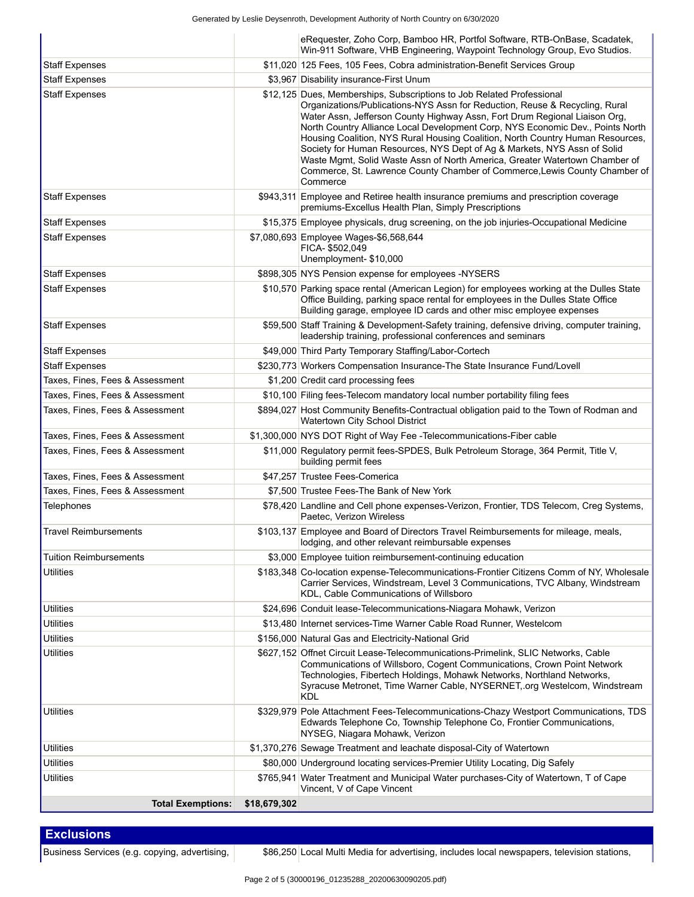Generated by Leslie Deysenroth, Development Authority of North Country on 6/30/2020

|                                 |              | eRequester, Zoho Corp, Bamboo HR, Portfol Software, RTB-OnBase, Scadatek,<br>Win-911 Software, VHB Engineering, Waypoint Technology Group, Evo Studios.                                                                                                                                                                                                                                                                                                                                                                                                                                                                                                     |
|---------------------------------|--------------|-------------------------------------------------------------------------------------------------------------------------------------------------------------------------------------------------------------------------------------------------------------------------------------------------------------------------------------------------------------------------------------------------------------------------------------------------------------------------------------------------------------------------------------------------------------------------------------------------------------------------------------------------------------|
| <b>Staff Expenses</b>           |              | \$11,020 125 Fees, 105 Fees, Cobra administration-Benefit Services Group                                                                                                                                                                                                                                                                                                                                                                                                                                                                                                                                                                                    |
| <b>Staff Expenses</b>           |              | \$3,967 Disability insurance-First Unum                                                                                                                                                                                                                                                                                                                                                                                                                                                                                                                                                                                                                     |
| <b>Staff Expenses</b>           |              | \$12,125 Dues, Memberships, Subscriptions to Job Related Professional<br>Organizations/Publications-NYS Assn for Reduction, Reuse & Recycling, Rural<br>Water Assn, Jefferson County Highway Assn, Fort Drum Regional Liaison Org,<br>North Country Alliance Local Development Corp, NYS Economic Dev., Points North<br>Housing Coalition, NYS Rural Housing Coalition, North Country Human Resources,<br>Society for Human Resources, NYS Dept of Ag & Markets, NYS Assn of Solid<br>Waste Mgmt, Solid Waste Assn of North America, Greater Watertown Chamber of<br>Commerce, St. Lawrence County Chamber of Commerce, Lewis County Chamber of<br>Commerce |
| <b>Staff Expenses</b>           |              | \$943,311 Employee and Retiree health insurance premiums and prescription coverage<br>premiums-Excellus Health Plan, Simply Prescriptions                                                                                                                                                                                                                                                                                                                                                                                                                                                                                                                   |
| <b>Staff Expenses</b>           |              | \$15,375 Employee physicals, drug screening, on the job injuries-Occupational Medicine                                                                                                                                                                                                                                                                                                                                                                                                                                                                                                                                                                      |
| <b>Staff Expenses</b>           |              | \$7,080,693 Employee Wages-\$6,568,644<br>FICA-\$502,049<br>Unemployment-\$10,000                                                                                                                                                                                                                                                                                                                                                                                                                                                                                                                                                                           |
| <b>Staff Expenses</b>           |              | \$898,305 NYS Pension expense for employees -NYSERS                                                                                                                                                                                                                                                                                                                                                                                                                                                                                                                                                                                                         |
| <b>Staff Expenses</b>           |              | \$10,570 Parking space rental (American Legion) for employees working at the Dulles State<br>Office Building, parking space rental for employees in the Dulles State Office<br>Building garage, employee ID cards and other misc employee expenses                                                                                                                                                                                                                                                                                                                                                                                                          |
| <b>Staff Expenses</b>           |              | \$59,500 Staff Training & Development-Safety training, defensive driving, computer training,<br>leadership training, professional conferences and seminars                                                                                                                                                                                                                                                                                                                                                                                                                                                                                                  |
| <b>Staff Expenses</b>           |              | \$49,000 Third Party Temporary Staffing/Labor-Cortech                                                                                                                                                                                                                                                                                                                                                                                                                                                                                                                                                                                                       |
| <b>Staff Expenses</b>           |              | \$230,773 Workers Compensation Insurance-The State Insurance Fund/Lovell                                                                                                                                                                                                                                                                                                                                                                                                                                                                                                                                                                                    |
| Taxes, Fines, Fees & Assessment |              | \$1,200 Credit card processing fees                                                                                                                                                                                                                                                                                                                                                                                                                                                                                                                                                                                                                         |
| Taxes, Fines, Fees & Assessment |              | \$10,100 Filing fees-Telecom mandatory local number portability filing fees                                                                                                                                                                                                                                                                                                                                                                                                                                                                                                                                                                                 |
| Taxes, Fines, Fees & Assessment |              | \$894,027 Host Community Benefits-Contractual obligation paid to the Town of Rodman and<br>Watertown City School District                                                                                                                                                                                                                                                                                                                                                                                                                                                                                                                                   |
| Taxes, Fines, Fees & Assessment |              | \$1,300,000 NYS DOT Right of Way Fee - Telecommunications-Fiber cable                                                                                                                                                                                                                                                                                                                                                                                                                                                                                                                                                                                       |
| Taxes, Fines, Fees & Assessment |              | \$11,000 Regulatory permit fees-SPDES, Bulk Petroleum Storage, 364 Permit, Title V,<br>building permit fees                                                                                                                                                                                                                                                                                                                                                                                                                                                                                                                                                 |
| Taxes, Fines, Fees & Assessment |              | \$47,257 Trustee Fees-Comerica                                                                                                                                                                                                                                                                                                                                                                                                                                                                                                                                                                                                                              |
| Taxes, Fines, Fees & Assessment |              | \$7.500 Trustee Fees-The Bank of New York                                                                                                                                                                                                                                                                                                                                                                                                                                                                                                                                                                                                                   |
| <b>Telephones</b>               |              | \$78,420 Landline and Cell phone expenses-Verizon, Frontier, TDS Telecom, Creg Systems,<br>Paetec, Verizon Wireless                                                                                                                                                                                                                                                                                                                                                                                                                                                                                                                                         |
| <b>Travel Reimbursements</b>    |              | \$103,137 Employee and Board of Directors Travel Reimbursements for mileage, meals,<br>lodging, and other relevant reimbursable expenses                                                                                                                                                                                                                                                                                                                                                                                                                                                                                                                    |
| <b>Tuition Reimbursements</b>   |              | \$3,000 Employee tuition reimbursement-continuing education                                                                                                                                                                                                                                                                                                                                                                                                                                                                                                                                                                                                 |
| <b>Utilities</b>                |              | \$183,348 Co-location expense-Telecommunications-Frontier Citizens Comm of NY, Wholesale<br>Carrier Services, Windstream, Level 3 Communications, TVC Albany, Windstream<br>KDL, Cable Communications of Willsboro                                                                                                                                                                                                                                                                                                                                                                                                                                          |
| <b>Utilities</b>                |              | \$24,696 Conduit lease-Telecommunications-Niagara Mohawk, Verizon                                                                                                                                                                                                                                                                                                                                                                                                                                                                                                                                                                                           |
| <b>Utilities</b>                |              | \$13,480 Internet services-Time Warner Cable Road Runner, Westelcom                                                                                                                                                                                                                                                                                                                                                                                                                                                                                                                                                                                         |
| <b>Utilities</b>                |              | \$156,000 Natural Gas and Electricity-National Grid                                                                                                                                                                                                                                                                                                                                                                                                                                                                                                                                                                                                         |
| <b>Utilities</b>                |              | \$627,152 Offnet Circuit Lease-Telecommunications-Primelink, SLIC Networks, Cable<br>Communications of Willsboro, Cogent Communications, Crown Point Network<br>Technologies, Fibertech Holdings, Mohawk Networks, Northland Networks,<br>Syracuse Metronet, Time Warner Cable, NYSERNET, org Westelcom, Windstream<br><b>KDL</b>                                                                                                                                                                                                                                                                                                                           |
| Utilities                       |              | \$329,979 Pole Attachment Fees-Telecommunications-Chazy Westport Communications, TDS<br>Edwards Telephone Co, Township Telephone Co, Frontier Communications,<br>NYSEG, Niagara Mohawk, Verizon                                                                                                                                                                                                                                                                                                                                                                                                                                                             |
| <b>Utilities</b>                |              | \$1,370,276 Sewage Treatment and leachate disposal-City of Watertown                                                                                                                                                                                                                                                                                                                                                                                                                                                                                                                                                                                        |
| <b>Utilities</b>                |              | \$80,000 Underground locating services-Premier Utility Locating, Dig Safely                                                                                                                                                                                                                                                                                                                                                                                                                                                                                                                                                                                 |
| <b>Utilities</b>                |              | \$765,941 Water Treatment and Municipal Water purchases-City of Watertown, T of Cape<br>Vincent, V of Cape Vincent                                                                                                                                                                                                                                                                                                                                                                                                                                                                                                                                          |
| <b>Total Exemptions:</b>        | \$18,679,302 |                                                                                                                                                                                                                                                                                                                                                                                                                                                                                                                                                                                                                                                             |

 **Exclusions**

Business Services (e.g. copying, advertising,  $\vert$  \$86,250 Local Multi Media for advertising, includes local newspapers, television stations,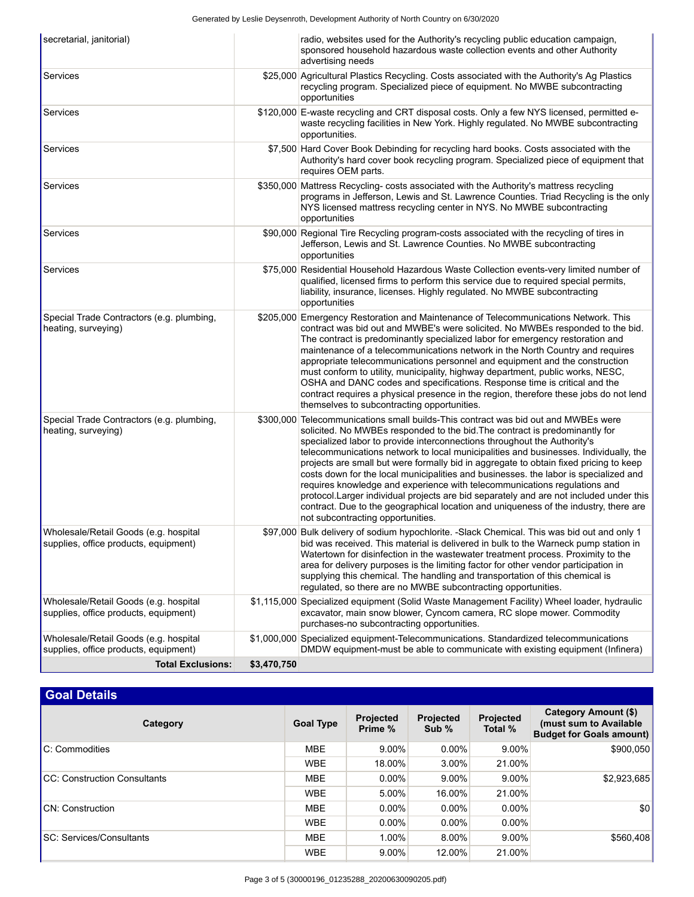| <b>Total Exclusions:</b>                                                       | \$3,470,750 |                                                                                                                                                                                                                                                                                                                                                                                                                                                                                                                                                                                                                                                                                                                                                                                                                             |
|--------------------------------------------------------------------------------|-------------|-----------------------------------------------------------------------------------------------------------------------------------------------------------------------------------------------------------------------------------------------------------------------------------------------------------------------------------------------------------------------------------------------------------------------------------------------------------------------------------------------------------------------------------------------------------------------------------------------------------------------------------------------------------------------------------------------------------------------------------------------------------------------------------------------------------------------------|
| Wholesale/Retail Goods (e.g. hospital<br>supplies, office products, equipment) |             | \$1,000,000 Specialized equipment-Telecommunications. Standardized telecommunications<br>DMDW equipment-must be able to communicate with existing equipment (Infinera)                                                                                                                                                                                                                                                                                                                                                                                                                                                                                                                                                                                                                                                      |
| Wholesale/Retail Goods (e.g. hospital<br>supplies, office products, equipment) |             | \$1,115,000 Specialized equipment (Solid Waste Management Facility) Wheel loader, hydraulic<br>excavator, main snow blower, Cyncom camera, RC slope mower. Commodity<br>purchases-no subcontracting opportunities.                                                                                                                                                                                                                                                                                                                                                                                                                                                                                                                                                                                                          |
| Wholesale/Retail Goods (e.g. hospital<br>supplies, office products, equipment) |             | \$97,000 Bulk delivery of sodium hypochlorite. -Slack Chemical. This was bid out and only 1<br>bid was received. This material is delivered in bulk to the Warneck pump station in<br>Watertown for disinfection in the wastewater treatment process. Proximity to the<br>area for delivery purposes is the limiting factor for other vendor participation in<br>supplying this chemical. The handling and transportation of this chemical is<br>regulated, so there are no MWBE subcontracting opportunities.                                                                                                                                                                                                                                                                                                              |
| Special Trade Contractors (e.g. plumbing,<br>heating, surveying)               |             | \$300,000 Telecommunications small builds-This contract was bid out and MWBEs were<br>solicited. No MWBEs responded to the bid. The contract is predominantly for<br>specialized labor to provide interconnections throughout the Authority's<br>telecommunications network to local municipalities and businesses. Individually, the<br>projects are small but were formally bid in aggregate to obtain fixed pricing to keep<br>costs down for the local municipalities and businesses. the labor is specialized and<br>requires knowledge and experience with telecommunications regulations and<br>protocol. Larger individual projects are bid separately and are not included under this<br>contract. Due to the geographical location and uniqueness of the industry, there are<br>not subcontracting opportunities. |
| Special Trade Contractors (e.g. plumbing,<br>heating, surveying)               |             | \$205,000 Emergency Restoration and Maintenance of Telecommunications Network. This<br>contract was bid out and MWBE's were solicited. No MWBEs responded to the bid.<br>The contract is predominantly specialized labor for emergency restoration and<br>maintenance of a telecommunications network in the North Country and requires<br>appropriate telecommunications personnel and equipment and the construction<br>must conform to utility, municipality, highway department, public works, NESC,<br>OSHA and DANC codes and specifications. Response time is critical and the<br>contract requires a physical presence in the region, therefore these jobs do not lend<br>themselves to subcontracting opportunities.                                                                                               |
| <b>Services</b>                                                                |             | \$75,000 Residential Household Hazardous Waste Collection events-very limited number of<br>qualified, licensed firms to perform this service due to required special permits,<br>liability, insurance, licenses. Highly regulated. No MWBE subcontracting<br>opportunities                                                                                                                                                                                                                                                                                                                                                                                                                                                                                                                                                  |
| Services                                                                       |             | \$90,000 Regional Tire Recycling program-costs associated with the recycling of tires in<br>Jefferson, Lewis and St. Lawrence Counties. No MWBE subcontracting<br>opportunities                                                                                                                                                                                                                                                                                                                                                                                                                                                                                                                                                                                                                                             |
| Services                                                                       |             | \$350,000 Mattress Recycling- costs associated with the Authority's mattress recycling<br>programs in Jefferson, Lewis and St. Lawrence Counties. Triad Recycling is the only<br>NYS licensed mattress recycling center in NYS. No MWBE subcontracting<br>opportunities                                                                                                                                                                                                                                                                                                                                                                                                                                                                                                                                                     |
| Services                                                                       |             | \$7,500 Hard Cover Book Debinding for recycling hard books. Costs associated with the<br>Authority's hard cover book recycling program. Specialized piece of equipment that<br>requires OEM parts.                                                                                                                                                                                                                                                                                                                                                                                                                                                                                                                                                                                                                          |
| Services                                                                       |             | \$120,000 E-waste recycling and CRT disposal costs. Only a few NYS licensed, permitted e-<br>waste recycling facilities in New York. Highly regulated. No MWBE subcontracting<br>opportunities.                                                                                                                                                                                                                                                                                                                                                                                                                                                                                                                                                                                                                             |
| Services                                                                       |             | \$25,000 Agricultural Plastics Recycling. Costs associated with the Authority's Ag Plastics<br>recycling program. Specialized piece of equipment. No MWBE subcontracting<br>opportunities                                                                                                                                                                                                                                                                                                                                                                                                                                                                                                                                                                                                                                   |
| secretarial, janitorial)                                                       |             | radio, websites used for the Authority's recycling public education campaign,<br>sponsored household hazardous waste collection events and other Authority<br>advertising needs                                                                                                                                                                                                                                                                                                                                                                                                                                                                                                                                                                                                                                             |

## **Goal Details**

| Category                             | <b>Goal Type</b> | <b>Projected</b><br>Prime % | <b>Projected</b><br>Sub % | Projected<br>Total % | Category Amount (\$)<br>(must sum to Available)<br><b>Budget for Goals amount)</b> |
|--------------------------------------|------------------|-----------------------------|---------------------------|----------------------|------------------------------------------------------------------------------------|
| C: Commodities                       | <b>MBE</b>       | $9.00\%$                    | $0.00\%$                  | $9.00\%$             | \$900,050                                                                          |
|                                      | <b>WBE</b>       | 18.00%                      | $3.00\%$                  | 21.00%               |                                                                                    |
| <b>ICC: Construction Consultants</b> | <b>MBE</b>       | $0.00\%$                    | $9.00\%$                  | $9.00\%$             | \$2,923,685                                                                        |
|                                      | <b>WBE</b>       | 5.00%                       | 16.00%                    | 21.00%               |                                                                                    |
| <b>CN: Construction</b>              | <b>MBE</b>       | $0.00\%$                    | $0.00\%$                  | $0.00\%$             | \$0                                                                                |
|                                      | <b>WBE</b>       | $0.00\%$                    | $0.00\%$                  | $0.00\%$             |                                                                                    |
| SC: Services/Consultants             | <b>MBE</b>       | 1.00%                       | $8.00\%$                  | $9.00\%$             | \$560,408                                                                          |
|                                      | <b>WBE</b>       | $9.00\%$                    | 12.00%                    | 21.00%               |                                                                                    |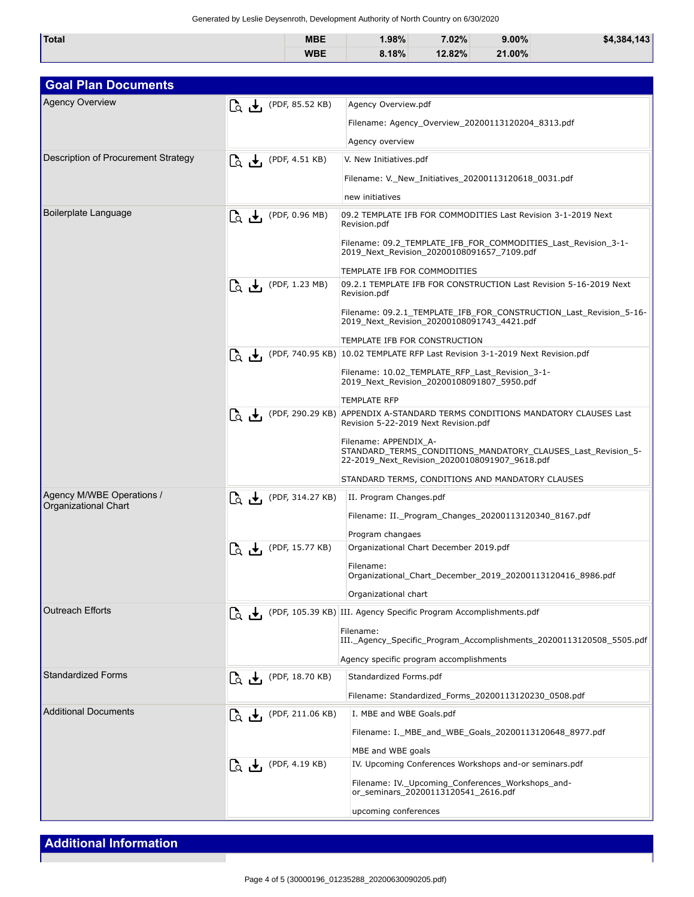Generated by Leslie Deysenroth, Development Authority of North Country on 6/30/2020

| <b>Total</b> | <b>MBE</b> | $.98\%$ | 7.02%  | $9.00\%$ | \$4.384.143 |
|--------------|------------|---------|--------|----------|-------------|
|              | <b>WBE</b> | 8.18%   | 12.82% | 21.00%   |             |

| <b>Goal Plan Documents</b>                               |                                                                                   |                                                                                                                                        |  |  |
|----------------------------------------------------------|-----------------------------------------------------------------------------------|----------------------------------------------------------------------------------------------------------------------------------------|--|--|
| <b>Agency Overview</b>                                   | $\begin{bmatrix} 1 & \mathbf{I} \\ 0 & \mathbf{I} \end{bmatrix}$ (PDF, 85.52 KB)  | Agency Overview.pdf                                                                                                                    |  |  |
|                                                          |                                                                                   | Filename: Agency_Overview_20200113120204_8313.pdf                                                                                      |  |  |
|                                                          |                                                                                   | Agency overview                                                                                                                        |  |  |
| Description of Procurement Strategy                      | $\begin{bmatrix} 1 & \mathbf{I} \\ 0 & \mathbf{I} \end{bmatrix}$ (PDF, 4.51 KB)   | V. New Initiatives.pdf                                                                                                                 |  |  |
|                                                          |                                                                                   | Filename: V._New_Initiatives_20200113120618_0031.pdf                                                                                   |  |  |
|                                                          |                                                                                   | new initiatives                                                                                                                        |  |  |
| Boilerplate Language                                     | $\begin{bmatrix} 1 & \mathbf{I} \\ 0 & \mathbf{I} \end{bmatrix}$ (PDF, 0.96 MB)   | 09.2 TEMPLATE IFB FOR COMMODITIES Last Revision 3-1-2019 Next<br>Revision.pdf                                                          |  |  |
|                                                          |                                                                                   | Filename: 09.2_TEMPLATE_IFB_FOR_COMMODITIES_Last_Revision_3-1-<br>2019_Next_Revision_20200108091657_7109.pdf                           |  |  |
|                                                          |                                                                                   | TEMPLATE IFB FOR COMMODITIES                                                                                                           |  |  |
|                                                          | $\begin{bmatrix} 1 & 1 \\ 0 & 1 \end{bmatrix}$ (PDF, 1.23 MB)                     | 09.2.1 TEMPLATE IFB FOR CONSTRUCTION Last Revision 5-16-2019 Next<br>Revision.pdf                                                      |  |  |
|                                                          |                                                                                   | Filename: 09.2.1_TEMPLATE_IFB_FOR_CONSTRUCTION_Last_Revision_5-16-<br>2019 Next Revision 20200108091743 4421.pdf                       |  |  |
|                                                          |                                                                                   | TEMPLATE IFB FOR CONSTRUCTION                                                                                                          |  |  |
|                                                          |                                                                                   | [C <sub>2</sub> ↓ (PDF, 740.95 KB) 10.02 TEMPLATE RFP Last Revision 3-1-2019 Next Revision.pdf                                         |  |  |
|                                                          |                                                                                   | Filename: 10.02_TEMPLATE_RFP_Last_Revision_3-1-<br>2019 Next Revision 20200108091807 5950.pdf                                          |  |  |
|                                                          |                                                                                   | <b>TEMPLATE RFP</b>                                                                                                                    |  |  |
|                                                          |                                                                                   | (PDF, 290.29 KB) APPENDIX A-STANDARD TERMS CONDITIONS MANDATORY CLAUSES Last<br>Revision 5-22-2019 Next Revision.pdf                   |  |  |
|                                                          |                                                                                   | Filename: APPENDIX_A-<br>STANDARD_TERMS_CONDITIONS_MANDATORY_CLAUSES_Last_Revision_5-<br>22-2019_Next_Revision_20200108091907_9618.pdf |  |  |
|                                                          |                                                                                   | STANDARD TERMS, CONDITIONS AND MANDATORY CLAUSES                                                                                       |  |  |
| Agency M/WBE Operations /<br><b>Organizational Chart</b> | $\begin{bmatrix} 1 & 1 \\ 0 & 0 \end{bmatrix}$ (PDF, 314.27 KB)                   | II. Program Changes.pdf                                                                                                                |  |  |
|                                                          |                                                                                   | Filename: II._Program_Changes_20200113120340_8167.pdf                                                                                  |  |  |
|                                                          |                                                                                   | Program changaes                                                                                                                       |  |  |
|                                                          | $\begin{bmatrix} 1 & 1 \\ 0 & 0 \end{bmatrix}$ (PDF, 15.77 KB)                    | Organizational Chart December 2019.pdf                                                                                                 |  |  |
|                                                          |                                                                                   | Filename:<br>Organizational_Chart_December_2019_20200113120416_8986.pdf                                                                |  |  |
|                                                          |                                                                                   | Organizational chart                                                                                                                   |  |  |
| <b>Outreach Efforts</b>                                  |                                                                                   | (PDF, 105.39 KB) III. Agency Specific Program Accomplishments.pdf                                                                      |  |  |
|                                                          |                                                                                   | Filename:                                                                                                                              |  |  |
|                                                          |                                                                                   | III. _Agency_Specific_Program_Accomplishments_20200113120508_5505.pdf                                                                  |  |  |
|                                                          |                                                                                   | Agency specific program accomplishments                                                                                                |  |  |
| <b>Standardized Forms</b>                                | $\begin{bmatrix} 1 & \mathbf{I} \\ 0 & \mathbf{I} \end{bmatrix}$ (PDF, 18.70 KB)  | Standardized Forms.pdf                                                                                                                 |  |  |
|                                                          |                                                                                   | Filename: Standardized_Forms_20200113120230_0508.pdf                                                                                   |  |  |
| <b>Additional Documents</b>                              | $\begin{bmatrix} 1 & \mathbf{I} \\ 0 & \mathbf{I} \end{bmatrix}$ (PDF, 211.06 KB) | I. MBE and WBE Goals.pdf                                                                                                               |  |  |
|                                                          |                                                                                   | Filename: I. MBE and WBE Goals 20200113120648 8977.pdf                                                                                 |  |  |
|                                                          |                                                                                   | MBE and WBE goals                                                                                                                      |  |  |
|                                                          | LQ + (PDF, 4.19 KB)                                                               | IV. Upcoming Conferences Workshops and-or seminars.pdf                                                                                 |  |  |
|                                                          |                                                                                   | Filename: IV. Upcoming Conferences Workshops and-<br>or_seminars_20200113120541_2616.pdf                                               |  |  |
|                                                          |                                                                                   | upcoming conferences                                                                                                                   |  |  |

## **Additional Information**